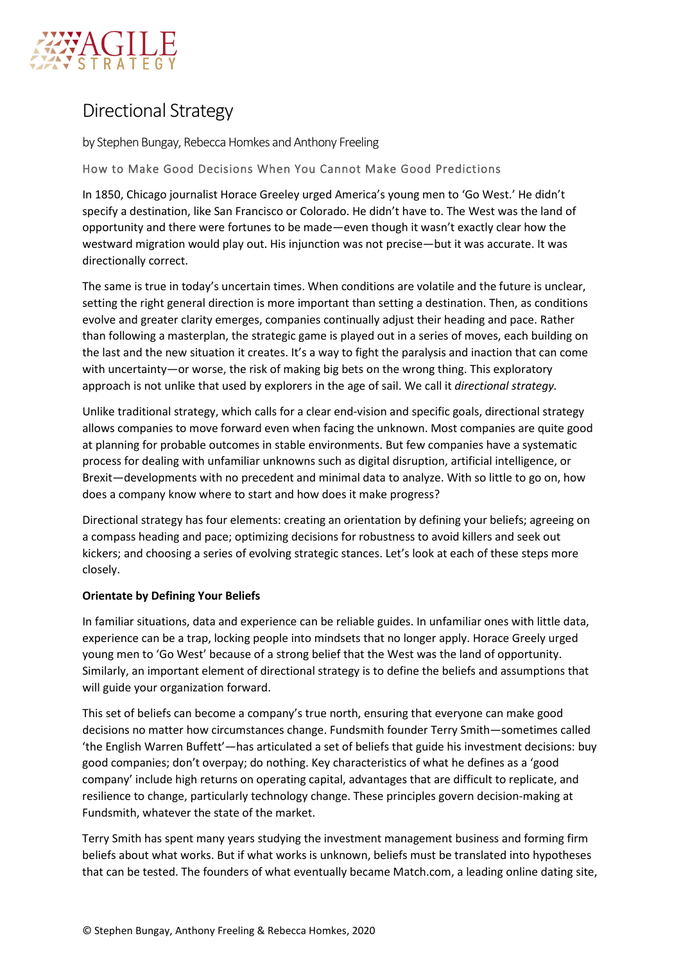

# Directional Strategy

by Stephen Bungay, Rebecca Homkes and Anthony Freeling

How to Make Good Decisions When You Cannot Make Good Predictions

In 1850, Chicago journalist Horace Greeley urged America's young men to 'Go West.' He didn't specify a destination, like San Francisco or Colorado. He didn't have to. The West was the land of opportunity and there were fortunes to be made—even though it wasn't exactly clear how the westward migration would play out. His injunction was not precise—but it was accurate. It was directionally correct.

The same is true in today's uncertain times. When conditions are volatile and the future is unclear, setting the right general direction is more important than setting a destination. Then, as conditions evolve and greater clarity emerges, companies continually adjust their heading and pace. Rather than following a masterplan, the strategic game is played out in a series of moves, each building on the last and the new situation it creates. It's a way to fight the paralysis and inaction that can come with uncertainty—or worse, the risk of making big bets on the wrong thing. This exploratory approach is not unlike that used by explorers in the age of sail. We call it *directional strategy.*

Unlike traditional strategy, which calls for a clear end-vision and specific goals, directional strategy allows companies to move forward even when facing the unknown. Most companies are quite good at planning for probable outcomes in stable environments. But few companies have a systematic process for dealing with unfamiliar unknowns such as digital disruption, artificial intelligence, or Brexit—developments with no precedent and minimal data to analyze. With so little to go on, how does a company know where to start and how does it make progress?

Directional strategy has four elements: creating an orientation by defining your beliefs; agreeing on a compass heading and pace; optimizing decisions for robustness to avoid killers and seek out kickers; and choosing a series of evolving strategic stances. Let's look at each of these steps more closely.

## **Orientate by Defining Your Beliefs**

In familiar situations, data and experience can be reliable guides. In unfamiliar ones with little data, experience can be a trap, locking people into mindsets that no longer apply. Horace Greely urged young men to 'Go West' because of a strong belief that the West was the land of opportunity. Similarly, an important element of directional strategy is to define the beliefs and assumptions that will guide your organization forward.

This set of beliefs can become a company's true north, ensuring that everyone can make good decisions no matter how circumstances change. Fundsmith founder Terry Smith—sometimes called 'the English Warren Buffett'—has articulated a set of beliefs that guide his investment decisions: buy good companies; don't overpay; do nothing. Key characteristics of what he defines as a 'good company' include high returns on operating capital, advantages that are difficult to replicate, and resilience to change, particularly technology change. These principles govern decision-making at Fundsmith, whatever the state of the market.

Terry Smith has spent many years studying the investment management business and forming firm beliefs about what works. But if what works is unknown, beliefs must be translated into hypotheses that can be tested. The founders of what eventually became Match.com, a leading online dating site,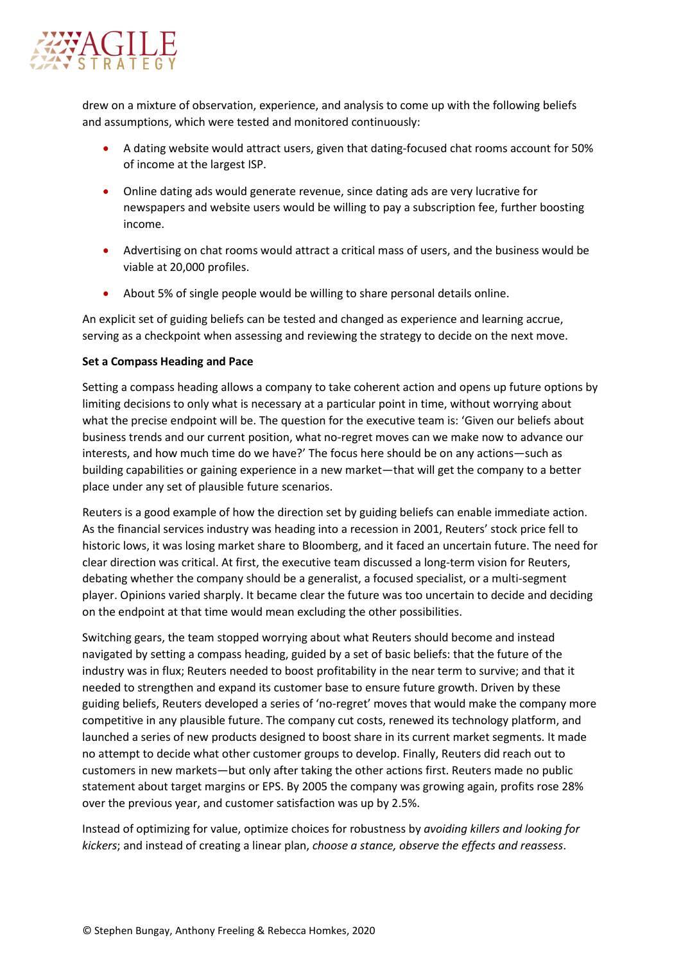

drew on a mixture of observation, experience, and analysis to come up with the following beliefs and assumptions, which were tested and monitored continuously:

- A dating website would attract users, given that dating-focused chat rooms account for 50% of income at the largest ISP.
- Online dating ads would generate revenue, since dating ads are very lucrative for newspapers and website users would be willing to pay a subscription fee, further boosting income.
- Advertising on chat rooms would attract a critical mass of users, and the business would be viable at 20,000 profiles.
- About 5% of single people would be willing to share personal details online.

An explicit set of guiding beliefs can be tested and changed as experience and learning accrue, serving as a checkpoint when assessing and reviewing the strategy to decide on the next move.

#### **Set a Compass Heading and Pace**

Setting a compass heading allows a company to take coherent action and opens up future options by limiting decisions to only what is necessary at a particular point in time, without worrying about what the precise endpoint will be. The question for the executive team is: 'Given our beliefs about business trends and our current position, what no-regret moves can we make now to advance our interests, and how much time do we have?' The focus here should be on any actions—such as building capabilities or gaining experience in a new market—that will get the company to a better place under any set of plausible future scenarios.

Reuters is a good example of how the direction set by guiding beliefs can enable immediate action. As the financial services industry was heading into a recession in 2001, Reuters' stock price fell to historic lows, it was losing market share to Bloomberg, and it faced an uncertain future. The need for clear direction was critical. At first, the executive team discussed a long-term vision for Reuters, debating whether the company should be a generalist, a focused specialist, or a multi-segment player. Opinions varied sharply. It became clear the future was too uncertain to decide and deciding on the endpoint at that time would mean excluding the other possibilities.

Switching gears, the team stopped worrying about what Reuters should become and instead navigated by setting a compass heading, guided by a set of basic beliefs: that the future of the industry was in flux; Reuters needed to boost profitability in the near term to survive; and that it needed to strengthen and expand its customer base to ensure future growth. Driven by these guiding beliefs, Reuters developed a series of 'no-regret' moves that would make the company more competitive in any plausible future. The company cut costs, renewed its technology platform, and launched a series of new products designed to boost share in its current market segments. It made no attempt to decide what other customer groups to develop. Finally, Reuters did reach out to customers in new markets—but only after taking the other actions first. Reuters made no public statement about target margins or EPS. By 2005 the company was growing again, profits rose 28% over the previous year, and customer satisfaction was up by 2.5%.

Instead of optimizing for value, optimize choices for robustness by *avoiding killers and looking for kickers*; and instead of creating a linear plan, *choose a stance, observe the effects and reassess*.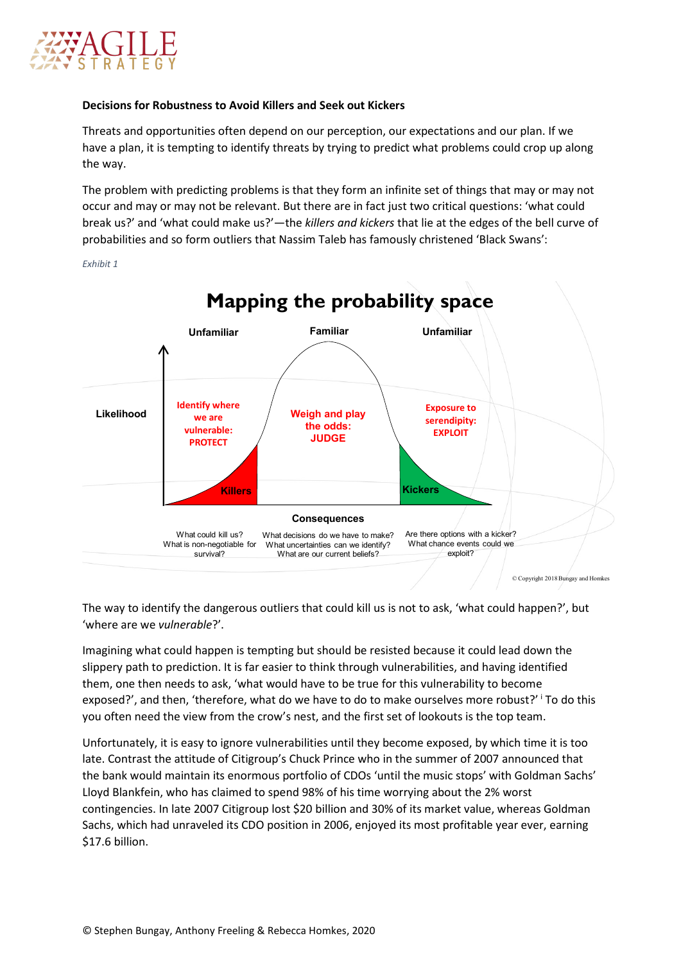

### **Decisions for Robustness to Avoid Killers and Seek out Kickers**

Threats and opportunities often depend on our perception, our expectations and our plan. If we have a plan, it is tempting to identify threats by trying to predict what problems could crop up along the way.

The problem with predicting problems is that they form an infinite set of things that may or may not occur and may or may not be relevant. But there are in fact just two critical questions: 'what could break us?' and 'what could make us?'—the *killers and kickers* that lie at the edges of the bell curve of probabilities and so form outliers that Nassim Taleb has famously christened 'Black Swans':

*Exhibit 1*



The way to identify the dangerous outliers that could kill us is not to ask, 'what could happen?', but 'where are we *vulnerable*?'.

Imagining what could happen is tempting but should be resisted because it could lead down the slippery path to prediction. It is far easier to think through vulnerabilities, and having identified them, one then needs to ask, 'what would have to be true for this vulnerability to become exposed?', and then, 'therefore, what do we have to do to make ourselves more robust?' To do th[i](#page-6-0)s you often need the view from the crow's nest, and the first set of lookouts is the top team.

Unfortunately, it is easy to ignore vulnerabilities until they become exposed, by which time it is too late. Contrast the attitude of Citigroup's Chuck Prince who in the summer of 2007 announced that the bank would maintain its enormous portfolio of CDOs 'until the music stops' with Goldman Sachs' Lloyd Blankfein, who has claimed to spend 98% of his time worrying about the 2% worst contingencies. In late 2007 Citigroup lost \$20 billion and 30% of its market value, whereas Goldman Sachs, which had unraveled its CDO position in 2006, enjoyed its most profitable year ever, earning \$17.6 billion.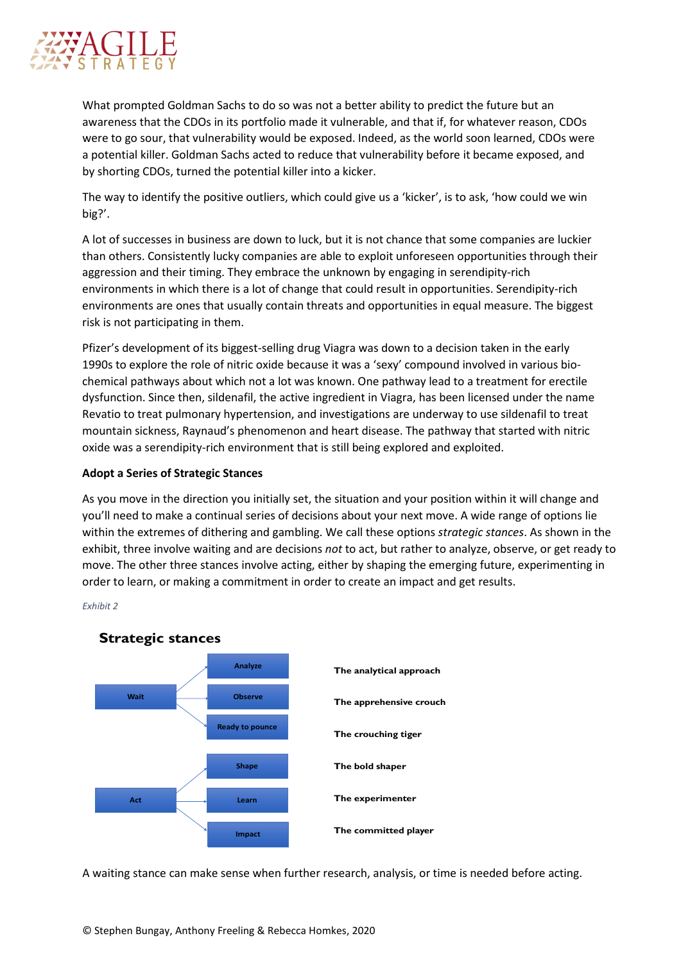

What prompted Goldman Sachs to do so was not a better ability to predict the future but an awareness that the CDOs in its portfolio made it vulnerable, and that if, for whatever reason, CDOs were to go sour, that vulnerability would be exposed. Indeed, as the world soon learned, CDOs were a potential killer. Goldman Sachs acted to reduce that vulnerability before it became exposed, and by shorting CDOs, turned the potential killer into a kicker.

The way to identify the positive outliers, which could give us a 'kicker', is to ask, 'how could we win big?'.

A lot of successes in business are down to luck, but it is not chance that some companies are luckier than others. Consistently lucky companies are able to exploit unforeseen opportunities through their aggression and their timing. They embrace the unknown by engaging in serendipity-rich environments in which there is a lot of change that could result in opportunities. Serendipity-rich environments are ones that usually contain threats and opportunities in equal measure. The biggest risk is not participating in them.

Pfizer's development of its biggest-selling drug Viagra was down to a decision taken in the early 1990s to explore the role of nitric oxide because it was a 'sexy' compound involved in various biochemical pathways about which not a lot was known. One pathway lead to a treatment for erectile dysfunction. Since then, sildenafil, the active ingredient in Viagra, has been licensed under the name Revatio to treat pulmonary hypertension, and investigations are underway to use sildenafil to treat mountain sickness, Raynaud's phenomenon and heart disease. The pathway that started with nitric oxide was a serendipity-rich environment that is still being explored and exploited.

#### **Adopt a Series of Strategic Stances**

As you move in the direction you initially set, the situation and your position within it will change and you'll need to make a continual series of decisions about your next move. A wide range of options lie within the extremes of dithering and gambling. We call these options *strategic stances*. As shown in the exhibit, three involve waiting and are decisions *not* to act, but rather to analyze, observe, or get ready to move. The other three stances involve acting, either by shaping the emerging future, experimenting in order to learn, or making a commitment in order to create an impact and get results.

*Exhibit 2*



A waiting stance can make sense when further research, analysis, or time is needed before acting.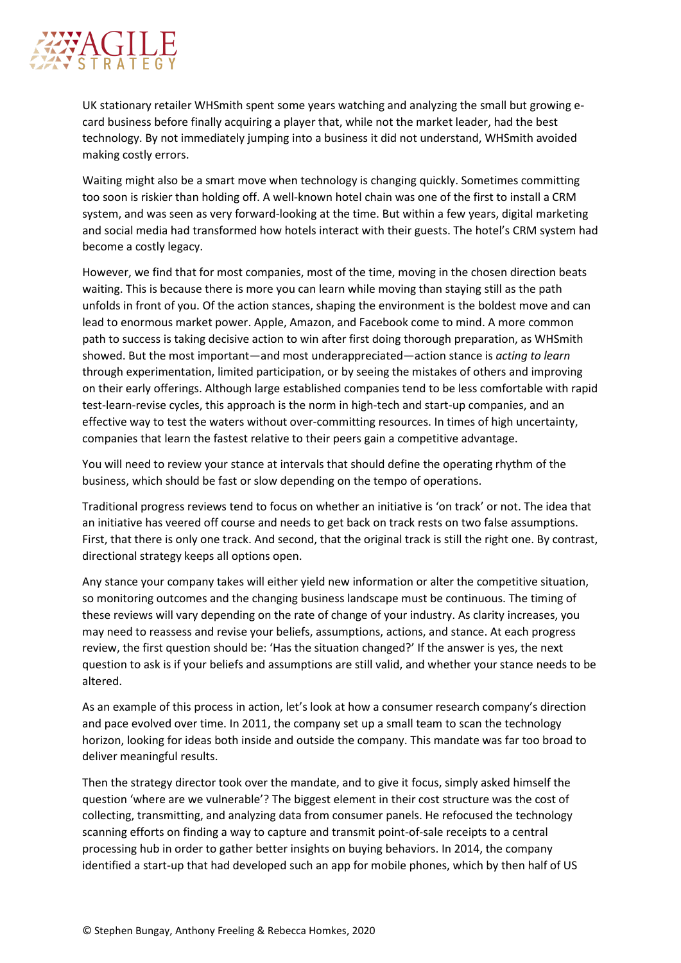

UK stationary retailer WHSmith spent some years watching and analyzing the small but growing ecard business before finally acquiring a player that, while not the market leader, had the best technology. By not immediately jumping into a business it did not understand, WHSmith avoided making costly errors.

Waiting might also be a smart move when technology is changing quickly. Sometimes committing too soon is riskier than holding off. A well-known hotel chain was one of the first to install a CRM system, and was seen as very forward-looking at the time. But within a few years, digital marketing and social media had transformed how hotels interact with their guests. The hotel's CRM system had become a costly legacy.

However, we find that for most companies, most of the time, moving in the chosen direction beats waiting. This is because there is more you can learn while moving than staying still as the path unfolds in front of you. Of the action stances, shaping the environment is the boldest move and can lead to enormous market power. Apple, Amazon, and Facebook come to mind. A more common path to success is taking decisive action to win after first doing thorough preparation, as WHSmith showed. But the most important—and most underappreciated—action stance is *acting to learn* through experimentation, limited participation, or by seeing the mistakes of others and improving on their early offerings. Although large established companies tend to be less comfortable with rapid test-learn-revise cycles, this approach is the norm in high-tech and start-up companies, and an effective way to test the waters without over-committing resources. In times of high uncertainty, companies that learn the fastest relative to their peers gain a competitive advantage.

You will need to review your stance at intervals that should define the operating rhythm of the business, which should be fast or slow depending on the tempo of operations.

Traditional progress reviews tend to focus on whether an initiative is 'on track' or not. The idea that an initiative has veered off course and needs to get back on track rests on two false assumptions. First, that there is only one track. And second, that the original track is still the right one. By contrast, directional strategy keeps all options open.

Any stance your company takes will either yield new information or alter the competitive situation, so monitoring outcomes and the changing business landscape must be continuous. The timing of these reviews will vary depending on the rate of change of your industry. As clarity increases, you may need to reassess and revise your beliefs, assumptions, actions, and stance. At each progress review, the first question should be: 'Has the situation changed?' If the answer is yes, the next question to ask is if your beliefs and assumptions are still valid, and whether your stance needs to be altered.

As an example of this process in action, let's look at how a consumer research company's direction and pace evolved over time. In 2011, the company set up a small team to scan the technology horizon, looking for ideas both inside and outside the company. This mandate was far too broad to deliver meaningful results.

Then the strategy director took over the mandate, and to give it focus, simply asked himself the question 'where are we vulnerable'? The biggest element in their cost structure was the cost of collecting, transmitting, and analyzing data from consumer panels. He refocused the technology scanning efforts on finding a way to capture and transmit point-of-sale receipts to a central processing hub in order to gather better insights on buying behaviors. In 2014, the company identified a start-up that had developed such an app for mobile phones, which by then half of US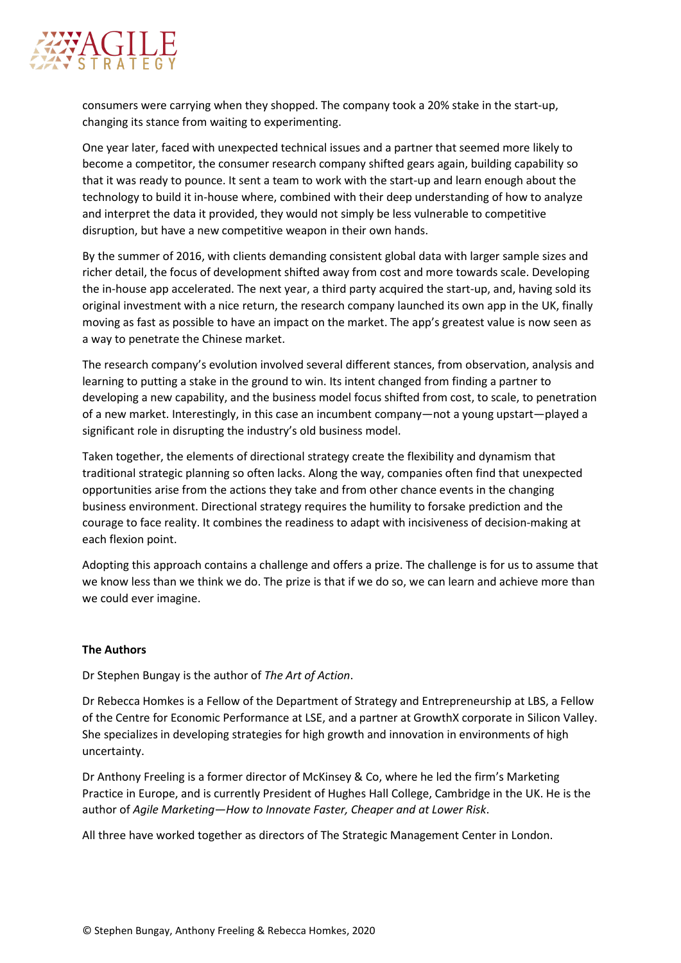

consumers were carrying when they shopped. The company took a 20% stake in the start-up, changing its stance from waiting to experimenting.

One year later, faced with unexpected technical issues and a partner that seemed more likely to become a competitor, the consumer research company shifted gears again, building capability so that it was ready to pounce. It sent a team to work with the start-up and learn enough about the technology to build it in-house where, combined with their deep understanding of how to analyze and interpret the data it provided, they would not simply be less vulnerable to competitive disruption, but have a new competitive weapon in their own hands.

By the summer of 2016, with clients demanding consistent global data with larger sample sizes and richer detail, the focus of development shifted away from cost and more towards scale. Developing the in-house app accelerated. The next year, a third party acquired the start-up, and, having sold its original investment with a nice return, the research company launched its own app in the UK, finally moving as fast as possible to have an impact on the market. The app's greatest value is now seen as a way to penetrate the Chinese market.

The research company's evolution involved several different stances, from observation, analysis and learning to putting a stake in the ground to win. Its intent changed from finding a partner to developing a new capability, and the business model focus shifted from cost, to scale, to penetration of a new market. Interestingly, in this case an incumbent company—not a young upstart—played a significant role in disrupting the industry's old business model.

Taken together, the elements of directional strategy create the flexibility and dynamism that traditional strategic planning so often lacks. Along the way, companies often find that unexpected opportunities arise from the actions they take and from other chance events in the changing business environment. Directional strategy requires the humility to forsake prediction and the courage to face reality. It combines the readiness to adapt with incisiveness of decision-making at each flexion point.

Adopting this approach contains a challenge and offers a prize. The challenge is for us to assume that we know less than we think we do. The prize is that if we do so, we can learn and achieve more than we could ever imagine.

#### **The Authors**

Dr Stephen Bungay is the author of *The Art of Action*.

Dr Rebecca Homkes is a Fellow of the Department of Strategy and Entrepreneurship at LBS, a Fellow of the Centre for Economic Performance at LSE, and a partner at GrowthX corporate in Silicon Valley. She specializes in developing strategies for high growth and innovation in environments of high uncertainty.

Dr Anthony Freeling is a former director of McKinsey & Co, where he led the firm's Marketing Practice in Europe, and is currently President of Hughes Hall College, Cambridge in the UK. He is the author of *Agile Marketing—How to Innovate Faster, Cheaper and at Lower Risk*.

All three have worked together as directors of The Strategic Management Center in London.